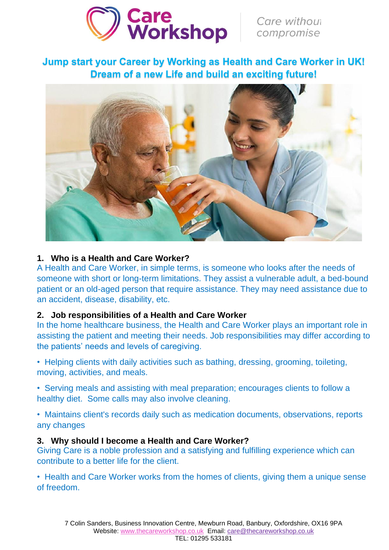

Care without<br>compromise

**Jump start your Career by Working as Health and Care Worker in UK! Dream of a new Life and build an exciting future!**



### **1. Who is a Health and Care Worker?**

A Health and Care Worker, in simple terms, is someone who looks after the needs of someone with short or long-term limitations. They assist a vulnerable adult, a bed-bound patient or an old-aged person that require assistance. They may need assistance due to an accident, disease, disability, etc.

#### **2. Job responsibilities of a Health and Care Worker**

In the home healthcare business, the Health and Care Worker plays an important role in assisting the patient and meeting their needs. Job responsibilities may differ according to the patients' needs and levels of caregiving.

• Helping clients with daily activities such as bathing, dressing, grooming, toileting, moving, activities, and meals.

• Serving meals and assisting with meal preparation; encourages clients to follow a healthy diet. Some calls may also involve cleaning.

• Maintains client's records daily such as medication documents, observations, reports any changes

#### **3. Why should I become a Health and Care Worker?**

Giving Care is a noble profession and a satisfying and fulfilling experience which can contribute to a better life for the client.

• Health and Care Worker works from the homes of clients, giving them a unique sense of freedom.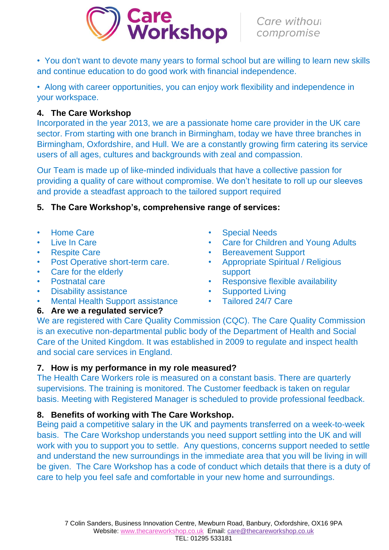

• You don't want to devote many years to formal school but are willing to learn new skills and continue education to do good work with financial independence.

• Along with career opportunities, you can enjoy work flexibility and independence in your workspace.

### **4. The Care Workshop**

Incorporated in the year 2013, we are a passionate home care provider in the UK care sector. From starting with one branch in Birmingham, today we have three branches in Birmingham, Oxfordshire, and Hull. We are a constantly growing firm catering its service users of all ages, cultures and backgrounds with zeal and compassion.

Our Team is made up of like-minded individuals that have a collective passion for providing a quality of care without compromise. We don't hesitate to roll up our sleeves and provide a steadfast approach to the tailored support required

- **5. The Care Workshop's, comprehensive range of services:**
- Home Care
- Live In Care
- Respite Care
- Post Operative short-term care.
- Care for the elderly
- Postnatal care
- Disability assistance
- Mental Health Support assistance
- **6. Are we a regulated service?**
- **Special Needs**
- **Care for Children and Young Adults**
- Bereavement Support
- Appropriate Spiritual / Religious support
- Responsive flexible availability
- Supported Living
- Tailored 24/7 Care

We are registered with Care Quality Commission (CQC). The Care Quality Commission is an executive non-departmental public body of the Department of Health and Social Care of the United Kingdom. It was established in 2009 to regulate and inspect health and social care services in England.

### **7. How is my performance in my role measured?**

The Health Care Workers role is measured on a constant basis. There are quarterly supervisions. The training is monitored. The Customer feedback is taken on regular basis. Meeting with Registered Manager is scheduled to provide professional feedback.

# **8. Benefits of working with The Care Workshop.**

Being paid a competitive salary in the UK and payments transferred on a week-to-week basis. The Care Workshop understands you need support settling into the UK and will work with you to support you to settle. Any questions, concerns support needed to settle and understand the new surroundings in the immediate area that you will be living in will be given. The Care Workshop has a code of conduct which details that there is a duty of care to help you feel safe and comfortable in your new home and surroundings.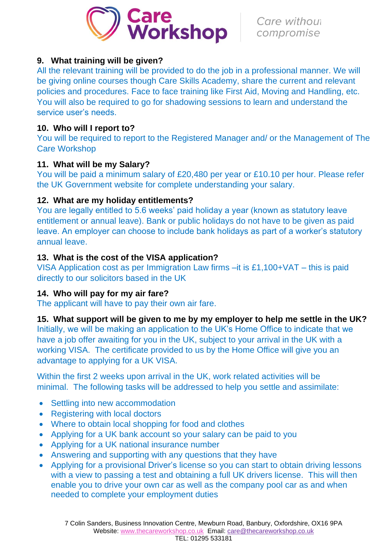

### **9. What training will be given?**

All the relevant training will be provided to do the job in a professional manner. We will be giving online courses though Care Skills Academy, share the current and relevant policies and procedures. Face to face training like First Aid, Moving and Handling, etc. You will also be required to go for shadowing sessions to learn and understand the service user's needs.

## **10. Who will I report to?**

You will be required to report to the Registered Manager and/ or the Management of The Care Workshop

# **11. What will be my Salary?**

You will be paid a minimum salary of £20,480 per year or £10.10 per hour. Please refer the UK Government website for complete understanding your salary.

### **12. What are my holiday entitlements?**

You are legally entitled to 5.6 weeks' paid holiday a year (known as statutory leave entitlement or annual leave). Bank or public holidays do not have to be given as paid leave. An employer can choose to include bank holidays as part of a worker's statutory annual leave.

# **13. What is the cost of the VISA application?**

VISA Application cost as per Immigration Law firms –it is £1,100+VAT – this is paid directly to our solicitors based in the UK

# **14. Who will pay for my air fare?**

The applicant will have to pay their own air fare.

### **15. What support will be given to me by my employer to help me settle in the UK?**

Initially, we will be making an application to the UK's Home Office to indicate that we have a job offer awaiting for you in the UK, subject to your arrival in the UK with a working VISA. The certificate provided to us by the Home Office will give you an advantage to applying for a UK VISA.

Within the first 2 weeks upon arrival in the UK, work related activities will be minimal. The following tasks will be addressed to help you settle and assimilate:

- Settling into new accommodation
- Registering with local doctors
- Where to obtain local shopping for food and clothes
- Applying for a UK bank account so your salary can be paid to you
- Applying for a UK national insurance number
- Answering and supporting with any questions that they have
- Applying for a provisional Driver's license so you can start to obtain driving lessons with a view to passing a test and obtaining a full UK drivers license. This will then enable you to drive your own car as well as the company pool car as and when needed to complete your employment duties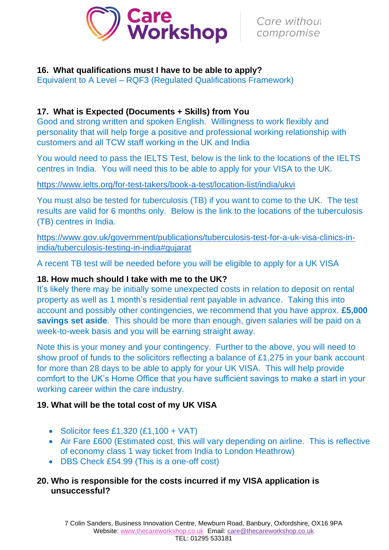

### **16. What qualifications must I have to be able to apply?**

Equivalent to A Level – RQF3 (Regulated Qualifications Framework)

## **17. What is Expected (Documents + Skills) from You**

Good and strong written and spoken English. Willingness to work flexibly and personality that will help forge a positive and professional working relationship with customers and all TCW staff working in the UK and India

You would need to pass the IELTS Test, below is the link to the locations of the IELTS centres in India. You will need this to be able to apply for your VISA to the UK.

#### <https://www.ielts.org/for-test-takers/book-a-test/location-list/india/ukvi>

You must also be tested for tuberculosis (TB) if you want to come to the UK. The test results are valid for 6 months only. Below is the link to the locations of the tuberculosis (TB) centres in India.

[https://www.gov.uk/government/publications/tuberculosis-test-for-a-uk-visa-clinics-in](https://www.gov.uk/government/publications/tuberculosis-test-for-a-uk-visa-clinics-in-india/tuberculosis-testing-in-india#gujarat)[india/tuberculosis-testing-in-india#gujarat](https://www.gov.uk/government/publications/tuberculosis-test-for-a-uk-visa-clinics-in-india/tuberculosis-testing-in-india#gujarat)

A recent TB test will be needed before you will be eligible to apply for a UK VISA

### **18. How much should I take with me to the UK?**

It's likely there may be initially some unexpected costs in relation to deposit on rental property as well as 1 month's residential rent payable in advance. Taking this into account and possibly other contingencies, we recommend that you have approx. **£5,000 savings set aside**. This should be more than enough, given salaries will be paid on a week-to-week basis and you will be earning straight away.

Note this is your money and your contingency. Further to the above, you will need to show proof of funds to the solicitors reflecting a balance of £1,275 in your bank account for more than 28 days to be able to apply for your UK VISA. This will help provide comfort to the UK's Home Office that you have sufficient savings to make a start in your working career within the care industry.

# **19. What will be the total cost of my UK VISA**

- Solicitor fees £1,320  $(E1,100 + VAT)$
- Air Fare £600 (Estimated cost, this will vary depending on airline. This is reflective of economy class 1 way ticket from India to London Heathrow)
- DBS Check £54.99 (This is a one-off cost)

### **20. Who is responsible for the costs incurred if my VISA application is unsuccessful?**